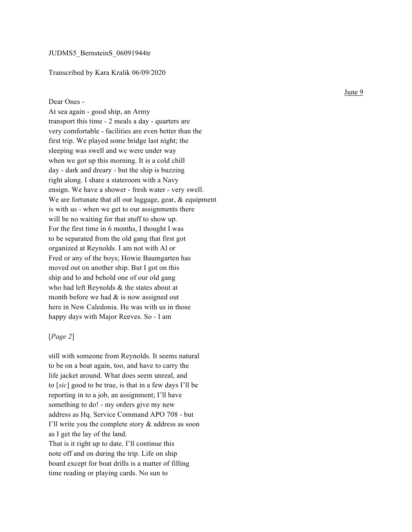## Transcribed by Kara Kralik 06/09/2020

## Dear Ones -

At sea again - good ship, an Army transport this time - 2 meals a day - quarters are very comfortable - facilities are even better than the first trip. We played some bridge last night; the sleeping was swell and we were under way when we got up this morning. It is a cold chill day - dark and dreary - but the ship is buzzing right along. I share a stateroom with a Navy ensign. We have a shower - fresh water - very swell. We are fortunate that all our luggage, gear, & equipment is with us - when we get to our assignments there will be no waiting for that stuff to show up. For the first time in 6 months, I thought I was to be separated from the old gang that first got organized at Reynolds. I am not with Al or Fred or any of the boys; Howie Baumgarten has moved out on another ship. But I got on this ship and lo and behold one of our old gang who had left Reynolds & the states about at month before we had  $\&$  is now assigned out here in New Caledonia. He was with us in those happy days with Major Reeves. So - I am

## [*Page 2* ]

still with someone from Reynolds. It seems natural to be on a boat again, too, and have to carry the life jacket around. What does seem unreal, and to [*sic*] good to be true, is that in a few days I'll be reporting in to a job, an assignment; I'll have something to do! - my orders give my new address as Hq. Service Command APO 708 - but I'll write you the complete story & address as soon as I get the lay of the land. That is it right up to date. I'll continue this note off and on during the trip. Life on ship board except for boat drills is a matter of filling time reading or playing cards. No sun to

June 9